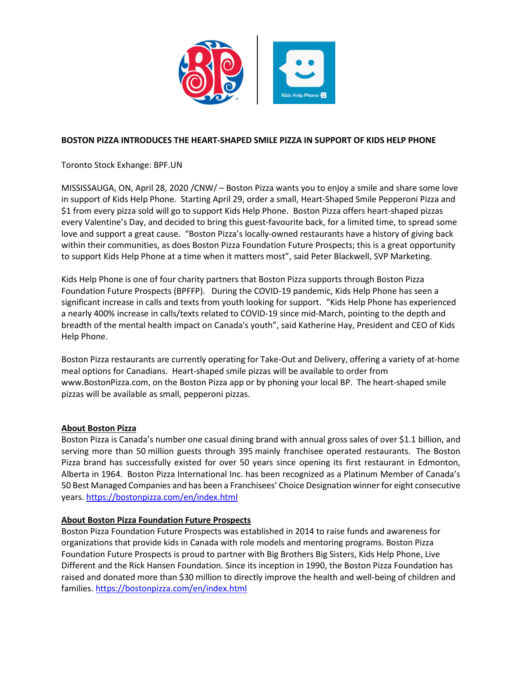

## **BOSTON PIZZA INTRODUCES THE HEART-SHAPED SMILE PIZZA IN SUPPORT OF KIDS HELP PHONE**

Toronto Stock Exhange: BPF.UN

MISSISSAUGA, ON, April 28, 2020 /CNW/ – Boston Pizza wants you to enjoy a smile and share some love in support of Kids Help Phone. Starting April 29, order a small, Heart-Shaped Smile Pepperoni Pizza and \$1 from every pizza sold will go to support Kids Help Phone. Boston Pizza offers heart-shaped pizzas every Valentine's Day, and decided to bring this guest-favourite back, for a limited time, to spread some love and support a great cause. "Boston Pizza's locally-owned restaurants have a history of giving back within their communities, as does Boston Pizza Foundation Future Prospects; this is a great opportunity to support Kids Help Phone at a time when it matters most", said Peter Blackwell, SVP Marketing.

Kids Help Phone is one of four charity partners that Boston Pizza supports through Boston Pizza Foundation Future Prospects (BPFFP). During the COVID-19 pandemic, Kids Help Phone has seen a significant increase in calls and texts from youth looking for support. "Kids Help Phone has experienced a nearly 400% increase in calls/texts related to COVID-19 since mid-March, pointing to the depth and breadth of the mental health impact on Canada's youth", said Katherine Hay, President and CEO of Kids Help Phone.

Boston Pizza restaurants are currently operating for Take-Out and Delivery, offering a variety of at-home meal options for Canadians. Heart-shaped smile pizzas will be available to order from www.BostonPizza.com, on the Boston Pizza app or by phoning your local BP. The heart-shaped smile pizzas will be available as small, pepperoni pizzas.

## **About Boston Pizza**

Boston Pizza is Canada's number one casual dining brand with annual gross sales of over \$1.1 billion, and serving more than 50 million guests through 395 mainly franchisee operated restaurants. The Boston Pizza brand has successfully existed for over 50 years since opening its first restaurant in Edmonton, Alberta in 1964. Boston Pizza International Inc. has been recognized as a Platinum Member of Canada's 50 Best Managed Companies and has been a Franchisees' Choice Designation winner for eight consecutive years. <https://bostonpizza.com/en/index.html>

## **About Boston Pizza Foundation Future Prospects**

Boston Pizza Foundation Future Prospects was established in 2014 to raise funds and awareness for organizations that provide kids in Canada with role models and mentoring programs. Boston Pizza Foundation Future Prospects is proud to partner with Big Brothers Big Sisters, Kids Help Phone, Live Different and the Rick Hansen Foundation. Since its inception in 1990, the Boston Pizza Foundation has raised and donated more than \$30 million to directly improve the health and well-being of children and families. <https://bostonpizza.com/en/index.html>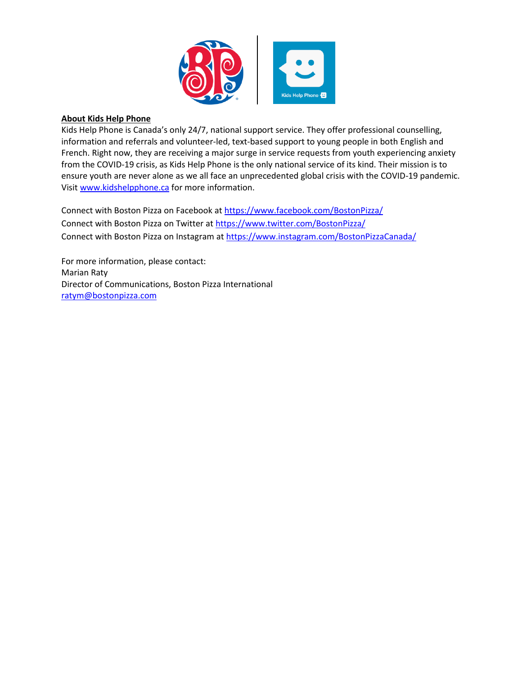

## **About Kids Help Phone**

Kids Help Phone is Canada's only 24/7, national support service. They offer professional counselling, information and referrals and volunteer-led, text-based support to young people in both English and French. Right now, they are receiving a major surge in service requests from youth experiencing anxiety from the COVID-19 crisis, as Kids Help Phone is the only national service of its kind. Their mission is to ensure youth are never alone as we all face an unprecedented global crisis with the COVID-19 pandemic. Visit [www.kidshelpphone.ca](https://c212.net/c/link/?t=0&l=en&o=2778502-1&h=2896560667&u=http%3A%2F%2Fwww.kidshelpphone.ca%2F&a=www.kidshelpphone.ca) for more information.

Connect with Boston Pizza on Facebook at<https://www.facebook.com/BostonPizza/> Connect with Boston Pizza on Twitter at<https://www.twitter.com/BostonPizza/> Connect with Boston Pizza on Instagram at<https://www.instagram.com/BostonPizzaCanada/>

For more information, please contact: Marian Raty Director of Communications, Boston Pizza International [ratym@bostonpizza.com](mailto:ratym@bostonpizza.com)